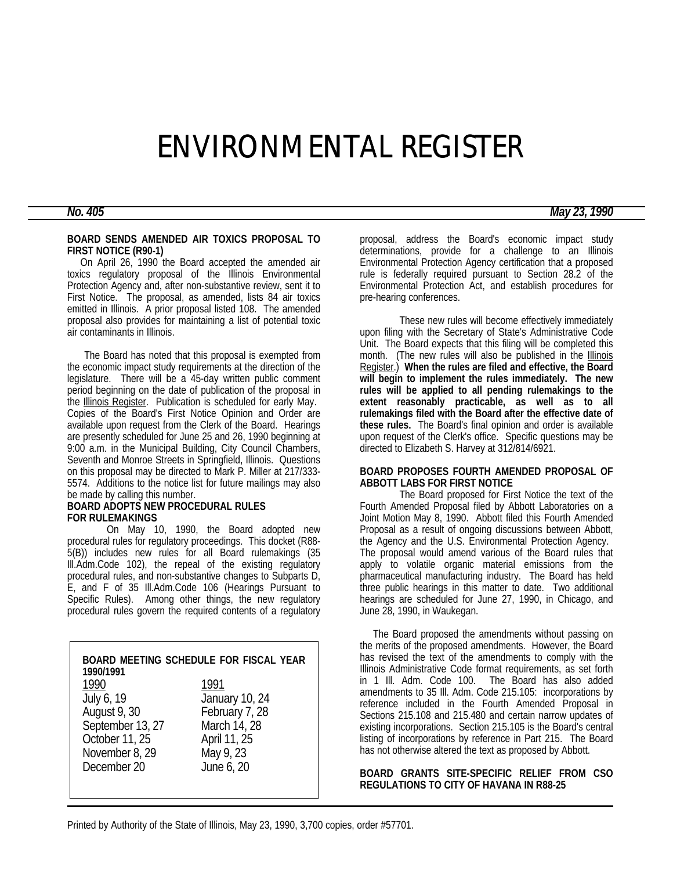# ENVIRONMENTAL REGISTER

## **BOARD SENDS AMENDED AIR TOXICS PROPOSAL TO FIRST NOTICE (R90-1)**

 On April 26, 1990 the Board accepted the amended air toxics regulatory proposal of the Illinois Environmental Protection Agency and, after non-substantive review, sent it to First Notice. The proposal, as amended, lists 84 air toxics emitted in Illinois. A prior proposal listed 108. The amended proposal also provides for maintaining a list of potential toxic air contaminants in Illinois.

 The Board has noted that this proposal is exempted from the economic impact study requirements at the direction of the legislature. There will be a 45-day written public comment period beginning on the date of publication of the proposal in the Illinois Register. Publication is scheduled for early May. Copies of the Board's First Notice Opinion and Order are available upon request from the Clerk of the Board. Hearings are presently scheduled for June 25 and 26, 1990 beginning at 9:00 a.m. in the Municipal Building, City Council Chambers, Seventh and Monroe Streets in Springfield, Illinois. Questions on this proposal may be directed to Mark P. Miller at 217/333- 5574. Additions to the notice list for future mailings may also be made by calling this number.

# **BOARD ADOPTS NEW PROCEDURAL RULES FOR RULEMAKINGS**

On May 10, 1990, the Board adopted new procedural rules for regulatory proceedings. This docket (R88- 5(B)) includes new rules for all Board rulemakings (35 Ill.Adm.Code 102), the repeal of the existing regulatory procedural rules, and non-substantive changes to Subparts D, E, and F of 35 Ill.Adm.Code 106 (Hearings Pursuant to Specific Rules). Among other things, the new regulatory procedural rules govern the required contents of a regulatory

| 1990/1991        | BOARD MEETING SCHEDULE FOR FISCAL YEAR |
|------------------|----------------------------------------|
| 1990             | 1991                                   |
| July 6, 19       | January 10, 24                         |
| August 9, 30     | February 7, 28                         |
| September 13, 27 | March 14, 28                           |
| October 11, 25   | April 11, 25                           |
| November 8, 29   | May 9, 23                              |
| December 20      | June 6, 20                             |
|                  |                                        |

proposal, address the Board's economic impact study determinations, provide for a challenge to an Illinois Environmental Protection Agency certification that a proposed rule is federally required pursuant to Section 28.2 of the Environmental Protection Act, and establish procedures for pre-hearing conferences.

These new rules will become effectively immediately upon filing with the Secretary of State's Administrative Code Unit. The Board expects that this filing will be completed this month. (The new rules will also be published in the **Illinois** Register.) **When the rules are filed and effective, the Board will begin to implement the rules immediately. The new rules will be applied to all pending rulemakings to the extent reasonably practicable, as well as to all rulemakings filed with the Board after the effective date of these rules.** The Board's final opinion and order is available upon request of the Clerk's office. Specific questions may be directed to Elizabeth S. Harvey at 312/814/6921.

#### **BOARD PROPOSES FOURTH AMENDED PROPOSAL OF ABBOTT LABS FOR FIRST NOTICE**

The Board proposed for First Notice the text of the Fourth Amended Proposal filed by Abbott Laboratories on a Joint Motion May 8, 1990. Abbott filed this Fourth Amended Proposal as a result of ongoing discussions between Abbott, the Agency and the U.S. Environmental Protection Agency. The proposal would amend various of the Board rules that apply to volatile organic material emissions from the pharmaceutical manufacturing industry. The Board has held three public hearings in this matter to date. Two additional hearings are scheduled for June 27, 1990, in Chicago, and June 28, 1990, in Waukegan.

 The Board proposed the amendments without passing on the merits of the proposed amendments. However, the Board has revised the text of the amendments to comply with the Illinois Administrative Code format requirements, as set forth in 1 Ill. Adm. Code 100. The Board has also added amendments to 35 Ill. Adm. Code 215.105: incorporations by reference included in the Fourth Amended Proposal in Sections 215.108 and 215.480 and certain narrow updates of existing incorporations. Section 215.105 is the Board's central listing of incorporations by reference in Part 215. The Board has not otherwise altered the text as proposed by Abbott.

# **BOARD GRANTS SITE-SPECIFIC RELIEF FROM CSO REGULATIONS TO CITY OF HAVANA IN R88-25**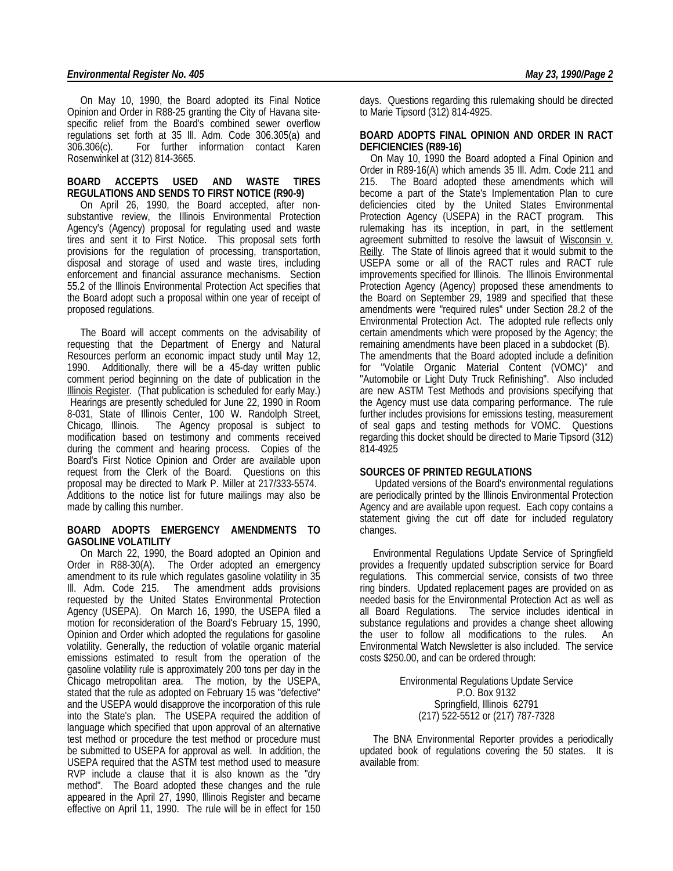## *Environmental Register No. 405 May 23, 1990/Page 2*

 On May 10, 1990, the Board adopted its Final Notice Opinion and Order in R88-25 granting the City of Havana sitespecific relief from the Board's combined sewer overflow regulations set forth at 35 Ill. Adm. Code 306.305(a) and 306.306(c). For further information contact Karen Rosenwinkel at (312) 814-3665.

#### **BOARD ACCEPTS USED AND WASTE TIRES REGULATIONS AND SENDS TO FIRST NOTICE (R90-9)**

 On April 26, 1990, the Board accepted, after nonsubstantive review, the Illinois Environmental Protection Agency's (Agency) proposal for regulating used and waste tires and sent it to First Notice. This proposal sets forth provisions for the regulation of processing, transportation, disposal and storage of used and waste tires, including enforcement and financial assurance mechanisms. Section 55.2 of the Illinois Environmental Protection Act specifies that the Board adopt such a proposal within one year of receipt of proposed regulations.

 The Board will accept comments on the advisability of requesting that the Department of Energy and Natural Resources perform an economic impact study until May 12, 1990. Additionally, there will be a 45-day written public comment period beginning on the date of publication in the Illinois Register. (That publication is scheduled for early May.) Hearings are presently scheduled for June 22, 1990 in Room 8-031, State of Illinois Center, 100 W. Randolph Street, Chicago, Illinois. The Agency proposal is subject to modification based on testimony and comments received during the comment and hearing process. Copies of the Board's First Notice Opinion and Order are available upon request from the Clerk of the Board. Questions on this proposal may be directed to Mark P. Miller at 217/333-5574. Additions to the notice list for future mailings may also be made by calling this number.

#### **BOARD ADOPTS EMERGENCY AMENDMENTS TO GASOLINE VOLATILITY**

 On March 22, 1990, the Board adopted an Opinion and Order in R88-30(A). The Order adopted an emergency amendment to its rule which regulates gasoline volatility in 35 Ill. Adm. Code 215. The amendment adds provisions requested by the United States Environmental Protection Agency (USEPA). On March 16, 1990, the USEPA filed a motion for reconsideration of the Board's February 15, 1990, Opinion and Order which adopted the regulations for gasoline volatility. Generally, the reduction of volatile organic material emissions estimated to result from the operation of the gasoline volatility rule is approximately 200 tons per day in the Chicago metropolitan area. The motion, by the USEPA, stated that the rule as adopted on February 15 was "defective" and the USEPA would disapprove the incorporation of this rule into the State's plan. The USEPA required the addition of language which specified that upon approval of an alternative test method or procedure the test method or procedure must be submitted to USEPA for approval as well. In addition, the USEPA required that the ASTM test method used to measure RVP include a clause that it is also known as the "dry method". The Board adopted these changes and the rule appeared in the April 27, 1990, Illinois Register and became effective on April 11, 1990. The rule will be in effect for 150

days. Questions regarding this rulemaking should be directed to Marie Tipsord (312) 814-4925.

#### **BOARD ADOPTS FINAL OPINION AND ORDER IN RACT DEFICIENCIES (R89-16)**

 On May 10, 1990 the Board adopted a Final Opinion and Order in R89-16(A) which amends 35 Ill. Adm. Code 211 and 215. The Board adopted these amendments which will become a part of the State's Implementation Plan to cure deficiencies cited by the United States Environmental Protection Agency (USEPA) in the RACT program. This rulemaking has its inception, in part, in the settlement agreement submitted to resolve the lawsuit of Wisconsin v. Reilly. The State of Ilinois agreed that it would submit to the USEPA some or all of the RACT rules and RACT rule improvements specified for Illinois. The Illinois Environmental Protection Agency (Agency) proposed these amendments to the Board on September 29, 1989 and specified that these amendments were "required rules" under Section 28.2 of the Environmental Protection Act. The adopted rule reflects only certain amendments which were proposed by the Agency; the remaining amendments have been placed in a subdocket (B). The amendments that the Board adopted include a definition for "Volatile Organic Material Content (VOMC)" and "Automobile or Light Duty Truck Refinishing". Also included are new ASTM Test Methods and provisions specifying that the Agency must use data comparing performance. The rule further includes provisions for emissions testing, measurement of seal gaps and testing methods for VOMC. Questions regarding this docket should be directed to Marie Tipsord (312) 814-4925

## **SOURCES OF PRINTED REGULATIONS**

 Updated versions of the Board's environmental regulations are periodically printed by the Illinois Environmental Protection Agency and are available upon request. Each copy contains a statement giving the cut off date for included regulatory changes.

 Environmental Regulations Update Service of Springfield provides a frequently updated subscription service for Board regulations. This commercial service, consists of two three ring binders. Updated replacement pages are provided on as needed basis for the Environmental Protection Act as well as all Board Regulations. The service includes identical in substance regulations and provides a change sheet allowing the user to follow all modifications to the rules. An Environmental Watch Newsletter is also included. The service costs \$250.00, and can be ordered through:

> Environmental Regulations Update Service P.O. Box 9132 Springfield, Illinois 62791 (217) 522-5512 or (217) 787-7328

 The BNA Environmental Reporter provides a periodically updated book of regulations covering the 50 states. It is available from: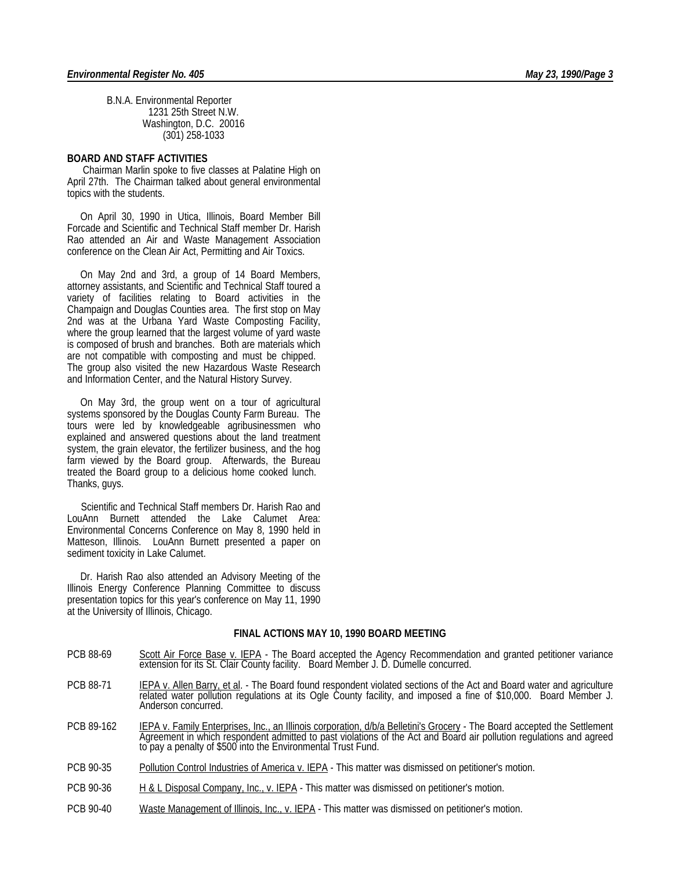B.N.A. Environmental Reporter 1231 25th Street N.W. Washington, D.C. 20016 (301) 258-1033

#### **BOARD AND STAFF ACTIVITIES**

 Chairman Marlin spoke to five classes at Palatine High on April 27th. The Chairman talked about general environmental topics with the students.

 On April 30, 1990 in Utica, Illinois, Board Member Bill Forcade and Scientific and Technical Staff member Dr. Harish Rao attended an Air and Waste Management Association conference on the Clean Air Act, Permitting and Air Toxics.

 On May 2nd and 3rd, a group of 14 Board Members, attorney assistants, and Scientific and Technical Staff toured a variety of facilities relating to Board activities in the Champaign and Douglas Counties area. The first stop on May 2nd was at the Urbana Yard Waste Composting Facility, where the group learned that the largest volume of yard waste is composed of brush and branches. Both are materials which are not compatible with composting and must be chipped. The group also visited the new Hazardous Waste Research and Information Center, and the Natural History Survey.

 On May 3rd, the group went on a tour of agricultural systems sponsored by the Douglas County Farm Bureau. The tours were led by knowledgeable agribusinessmen who explained and answered questions about the land treatment system, the grain elevator, the fertilizer business, and the hog farm viewed by the Board group. Afterwards, the Bureau treated the Board group to a delicious home cooked lunch. Thanks, guys.

 Scientific and Technical Staff members Dr. Harish Rao and LouAnn Burnett attended the Lake Calumet Area: Environmental Concerns Conference on May 8, 1990 held in Matteson, Illinois. LouAnn Burnett presented a paper on sediment toxicity in Lake Calumet.

 Dr. Harish Rao also attended an Advisory Meeting of the Illinois Energy Conference Planning Committee to discuss presentation topics for this year's conference on May 11, 1990 at the University of Illinois, Chicago.

#### **FINAL ACTIONS MAY 10, 1990 BOARD MEETING**

- PCB 88-69 Scott Air Force Base v. IEPA The Board accepted the Agency Recommendation and granted petitioner variance extension for its St. Clair County facility. Board Member J. D. Dumelle concurred.
- PCB 88-71 IEPA v. Allen Barry, et al. The Board found respondent violated sections of the Act and Board water and agriculture related water pollution regulations at its Ogle County facility, and imposed a fine of \$10,000. Board Member J. Anderson concurred.
- PCB 89-162 **IEPA v. Family Enterprises, Inc., an Illinois corporation, d/b/a Belletini's Grocery** The Board accepted the Settlement Agreement in which respondent admitted to past violations of the Act and Board air pollution regulations and agreed to pay a penalty of \$500 into the Environmental Trust Fund.
- PCB 90-35 Pollution Control Industries of America v. IEPA This matter was dismissed on petitioner's motion.
- PCB 90-36 H & L Disposal Company, Inc., v. IEPA This matter was dismissed on petitioner's motion.
- PCB 90-40 Waste Management of Illinois, Inc., v. IEPA This matter was dismissed on petitioner's motion.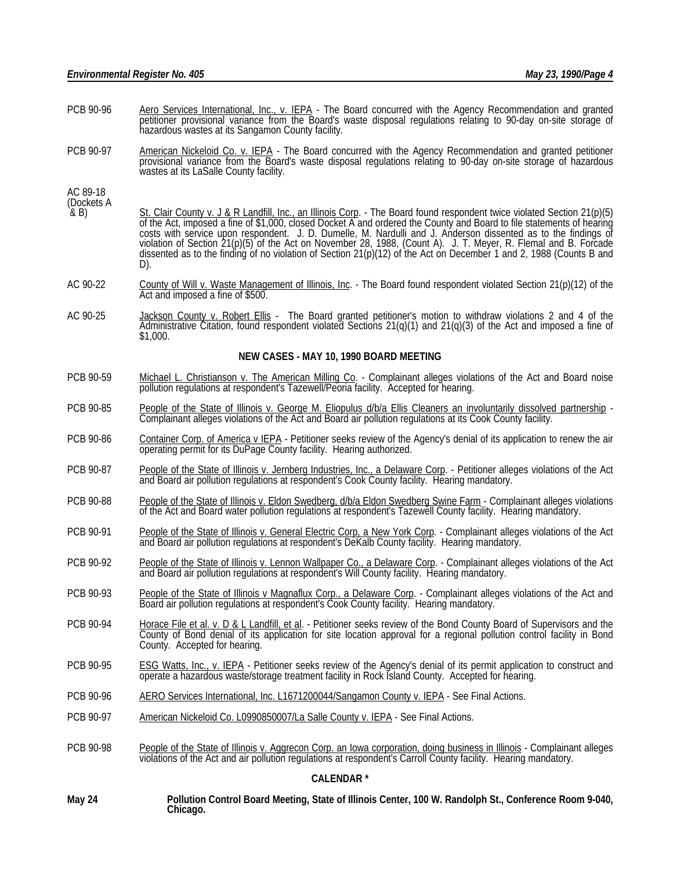- PCB 90-96 Aero Services International, Inc., v. IEPA The Board concurred with the Agency Recommendation and granted petitioner provisional variance from the Board's waste disposal regulations relating to 90-day on-site storage of hazardous wastes at its Sangamon County facility.
- PCB 90-97 American Nickeloid Co. v. IEPA The Board concurred with the Agency Recommendation and granted petitioner provisional variance from the Board's waste disposal regulations relating to 90-day on-site storage of hazardous wastes at its LaSalle County facility.

AC 89-18

- (Dockets A<br>& B)  $\&$  B) St. Clair County v. J & R Landfill, Inc., an Illinois Corp. - The Board found respondent twice violated Section 21(p)(5) of the Act, imposed a fine of \$1,000, closed Docket A and ordered the County and Board to file statements of hearing costs with service upon respondent. J. D. Dumelle, M. Nardulli and J. Anderson dissented as to the findings of violation of Section 21(p)(5) of the Act on November 28, 1988, (Count A). J. T. Meyer, R. Flemal and B. Forcade dissented as to the finding of no violation of Section 21(p)(12) of the Act on December 1 and 2, 1988 (Counts B and D).
- AC 90-22 County of Will v. Waste Management of Illinois, Inc. The Board found respondent violated Section 21(p)(12) of the Act and imposed a fine of \$500.
- AC 90-25 Jackson County v. Robert Ellis The Board granted petitioner's motion to withdraw violations 2 and 4 of the Administrative Citation, found respondent violated Sections 21(q)(1) and 21(q)(3) of the Act and imposed a fine of \$1,000.

#### **NEW CASES - MAY 10, 1990 BOARD MEETING**

- PCB 90-59 Michael L. Christianson v. The American Milling Co. Complainant alleges violations of the Act and Board noise pollution regulations at respondent's Tazewell/Peoria facility. Accepted for hearing.
- PCB 90-85 People of the State of Illinois v. George M. Eliopulus d/b/a Ellis Cleaners an involuntarily dissolved partnership -Complainant alleges violations of the Act and Board air pollution regulations at its Cook County facility.
- PCB 90-86 Container Corp. of America v IEPA Petitioner seeks review of the Agency's denial of its application to renew the air operating permit for its DuPage County facility. Hearing authorized.
- PCB 90-87 People of the State of Illinois v. Jernberg Industries, Inc., a Delaware Corp. Petitioner alleges violations of the Act and Board air pollution regulations at respondent's Cook County facility. Hearing mandatory.
- PCB 90-88 People of the State of Illinois v. Eldon Swedberg, d/b/a Eldon Swedberg Swine Farm Complainant alleges violations of the Act and Board water pollution regulations at respondent's Tazewell County facility. Hearing mandatory.
- PCB 90-91 People of the State of Illinois v. General Electric Corp, a New York Corp. Complainant alleges violations of the Act and Board air pollution regulations at respondent's DeKalb County facility. Hearing mandatory.
- PCB 90-92 People of the State of Illinois v. Lennon Wallpaper Co., a Delaware Corp. Complainant alleges violations of the Act and Board air pollution regulations at respondent's Will County facility. Hearing mandatory.
- PCB 90-93 People of the State of Illinois v Magnaflux Corp., a Delaware Corp. Complainant alleges violations of the Act and Board air pollution regulations at respondent's Cook County facility. Hearing mandatory.
- PCB 90-94 Horace File et al. v. D & L Landfill, et al. Petitioner seeks review of the Bond County Board of Supervisors and the County of Bond denial of its application for site location approval for a regional pollution control facility in Bond County. Accepted for hearing.
- PCB 90-95 ESG Watts, Inc., v. IEPA Petitioner seeks review of the Agency's denial of its permit application to construct and operate a hazardous waste/storage treatment facility in Rock Island County. Accepted for hearing.
- PCB 90-96 AERO Services International, Inc. L1671200044/Sangamon County v. IEPA See Final Actions.
- PCB 90-97 American Nickeloid Co. L0990850007/La Salle County v. IEPA See Final Actions.
- PCB 90-98 People of the State of Illinois v. Aggrecon Corp. an Iowa corporation, doing business in Illinois Complainant alleges violations of the Act and air pollution regulations at respondent's Carroll County facility. Hearing mandatory.

#### **CALENDAR \***

**May 24 Pollution Control Board Meeting, State of Illinois Center, 100 W. Randolph St., Conference Room 9-040, Chicago.**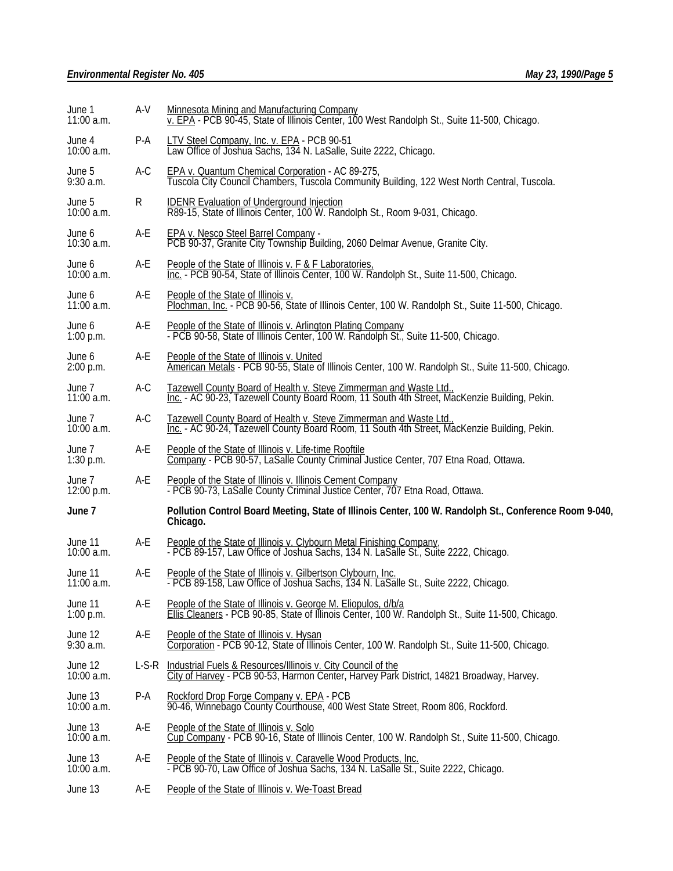| June 1<br>11:00 a.m.   | A-V   | Minnesota Mining and Manufacturing Company<br>v. EPA - PCB 90-45, State of Illinois Center, 100 West Randolph St., Suite 11-500, Chicago.                                               |  |
|------------------------|-------|-----------------------------------------------------------------------------------------------------------------------------------------------------------------------------------------|--|
| June 4<br>10:00 a.m.   | P-A   | LTV Steel Company, Inc. v. EPA - PCB 90-51<br>Law Office of Joshua Sachs, 134 N. LaSalle, Suite 2222, Chicago.                                                                          |  |
| June 5<br>$9:30$ a.m.  | $A-C$ | EPA v. Quantum Chemical Corporation - AC 89-275,<br>Tuscola City Council Chambers, Tuscola Community Building, 122 West North Central, Tuscola.                                         |  |
| June 5<br>10:00 a.m.   | R     | IDENR Evaluation of Underground Injection<br>R89-15, State of Illinois Center, 100 W. Randolph St., Room 9-031, Chicago.                                                                |  |
| June 6<br>10:30 a.m.   | A-E   | EPA v. Nesco Steel Barrel Company -<br>PCB 90-37, Granite City Township Building, 2060 Delmar Avenue, Granite City.                                                                     |  |
| June 6<br>10:00 a.m.   | A-E   | People of the State of Illinois v. F & F Laboratories.<br>Inc. - PCB 90-54, State of Illinois Center, 100 W. Randolph St., Suite 11-500, Chicago.                                       |  |
| June 6<br>11:00 a.m.   | A-E   | People of the State of Illinois v.<br>Plochman, Inc. - PCB 90-56, State of Illinois Center, 100 W. Randolph St., Suite 11-500, Chicago.                                                 |  |
| June 6<br>$1:00$ p.m.  | A-E   | People of the State of Illinois v. Arlington Plating Company<br>- PCB 90-58, State of Illinois Center, 100 W. Randolph St., Suite 11-500, Chicago.                                      |  |
| June 6<br>2:00 p.m.    | A-E   | People of the State of Illinois v. United<br>American Metals - PCB 90-55, State of Illinois Center, 100 W. Randolph St., Suite 11-500, Chicago.                                         |  |
| June 7<br>11:00 a.m.   | A-C   | Tazewell County Board of Health v. Steve Zimmerman and Waste Ltd., The Suilding, Pekin.<br>Inc. - AC 90-23, Tazewell County Board Room, 11 South 4th Street, MacKenzie Building, Pekin. |  |
| June 7<br>10:00 a.m.   | A-C   | Tazewell County Board of Health v. Steve Zimmerman and Waste Ltd.,<br>Inc. - AC 90-24, Tazewell County Board Room, 11 South 4th Street, MacKenzie Building, Pekin.                      |  |
| June 7<br>$1:30$ p.m.  | A-E   | People of the State of Illinois v. Life-time Rooftile<br>Company - PCB 90-57, LaSalle County Criminal Justice Center, 707 Etna Road, Ottawa.                                            |  |
| June 7<br>12:00 p.m.   | A-E   | People of the State of Illinois v. Illinois Cement Company<br>- PCB 90-73, LaSalle County Criminal Justice Center, 707 Etna Road, Ottawa.                                               |  |
| June 7                 |       | Pollution Control Board Meeting, State of Illinois Center, 100 W. Randolph St., Conference Room 9-040,<br>Chicago.                                                                      |  |
| June 11<br>10:00 a.m.  | A-E   | People of the State of Illinois v. Clybourn Metal Finishing Company,<br>- PCB 89-157, Law Office of Joshua Sachs, 134 N. LaSalle St., Suite 2222, Chicago.                              |  |
| June 11<br>11:00 a.m.  | A-E   | People of the State of Illinois v. Gilbertson Clybourn, Inc.<br>- PCB 89-158, Law Office of Joshua Sachs, 134 N. LaSalle St., Suite 2222, Chicago.                                      |  |
| June 11<br>$1:00$ p.m. | A-E   | People of the State of Illinois v. George M. Eliopulos, d/b/a<br>Ellis Cleaners - PCB 90-85, State of Illinois Center, 100 W. Randolph St., Suite 11-500, Chicago.                      |  |
| June 12<br>$9:30$ a.m. | A-E   | People of the State of Illinois v. Hysan<br>Corporation - PCB 90-12, State of Illinois Center, 100 W. Randolph St., Suite 11-500, Chicago.                                              |  |
| June 12<br>10:00 a.m.  | L-S-R | Industrial Fuels & Resources/Illinois v. City Council of the<br>City of Harvey - PCB 90-53, Harmon Center, Harvey Park District, 14821 Broadway, Harvey.                                |  |
| June 13<br>10:00 a.m.  | P-A   | Rockford Drop Forge Company v. EPA - PCB<br>90-46, Winnebago County Courthouse, 400 West State Street, Room 806, Rockford.                                                              |  |
| June 13<br>10:00 a.m.  | A-E   | People of the State of Illinois v. Solo<br>Cup Company - PCB 90-16, State of Illinois Center, 100 W. Randolph St., Suite 11-500, Chicago.                                               |  |
| June 13<br>10:00 a.m.  | A-E   | People of the State of Illinois v. Caravelle Wood Products, Inc.<br>- PCB 90-70, Law Office of Joshua Sachs, 134 N. LaSalle St., Suite 2222, Chicago.                                   |  |
| June 13                | A-E   | People of the State of Illinois v. We-Toast Bread                                                                                                                                       |  |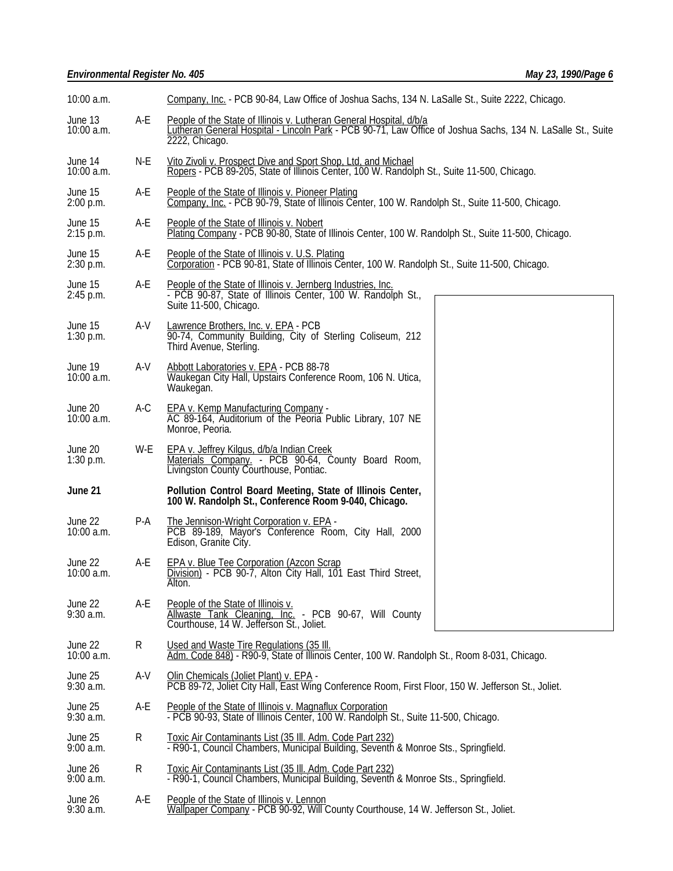| 10:00 a.m.              |           | Company, Inc. - PCB 90-84, Law Office of Joshua Sachs, 134 N. LaSalle St., Suite 2222, Chicago.                                                                                                      |  |  |
|-------------------------|-----------|------------------------------------------------------------------------------------------------------------------------------------------------------------------------------------------------------|--|--|
| June 13<br>10:00 a.m.   | A-E       | People of the State of Illinois v. Lutheran General Hospital, d/b/a<br>Lutheran General Hospital - Lincoln Park - PCB 90-71, Law Office of Joshua Sachs, 134 N. LaSalle St., Suite<br>2222, Chicago. |  |  |
| June 14<br>10:00 a.m.   | N-E       | Vito Zivoli v. Prospect Dive and Sport Shop, Ltd, and Michael<br>Ropers - PCB 89-205, State of Illinois Center, 100 W. Randolph St., Suite 11-500, Chicago.                                          |  |  |
| June 15<br>2:00 p.m.    | A-E       | People of the State of Illinois v. Pioneer Plating<br>Company, Inc. - PCB 90-79, State of Illinois Center, 100 W. Randolph St., Suite 11-500, Chicago.                                               |  |  |
| June 15<br>2:15 p.m.    | A-E       | People of the State of Illinois v. Nobert<br>Plating Company - PCB 90-80, State of Illinois Center, 100 W. Randolph St., Suite 11-500, Chicago.                                                      |  |  |
| June 15<br>2:30 p.m.    | A-E       | People of the State of Illinois v. U.S. Plating<br>Corporation - PCB 90-81, State of Illinois Center, 100 W. Randolph St., Suite 11-500, Chicago.                                                    |  |  |
| June 15<br>2:45 p.m.    | A-E       | People of the State of Illinois v. Jernberg Industries, Inc.<br>- PCB 90-87, State of Illinois Center, 100 W. Randolph St.,<br>Suite 11-500, Chicago.                                                |  |  |
| June 15<br>$1:30$ p.m.  | A-V       | Lawrence Brothers, Inc. v. EPA - PCB<br>90-74, Community Building, City of Sterling Coliseum, 212<br>Third Avenue, Sterling.                                                                         |  |  |
| June 19<br>$10:00$ a.m. | A-V       | Abbott Laboratories v. EPA - PCB 88-78<br>Waukegan City Hall, Upstairs Conference Room, 106 N. Utica,<br>Waukeğan.                                                                                   |  |  |
| June 20<br>10:00 a.m.   | A-C       | EPA v. Kemp Manufacturing Company -<br>AC 89-164, Auditorium of the Peoria Public Library, 107 NE<br>Monroe, Peoria.                                                                                 |  |  |
| June 20<br>$1:30$ p.m.  | W-E       | EPA v. Jeffrey Kilgus, d/b/a Indian Creek<br>Materials Company. - PCB 90-64, County Board Room,<br>Livingston County Courthouse, Pontiac.                                                            |  |  |
| June 21                 |           | Pollution Control Board Meeting, State of Illinois Center,<br>100 W. Randolph St., Conference Room 9-040, Chicago.                                                                                   |  |  |
| June 22<br>10:00 a.m.   | P-A       | The Jennison-Wright Corporation v. EPA -<br>PCB 89-189, Mayor's Conference Room, City Hall, 2000<br>Edison, Granite City.                                                                            |  |  |
| June 22<br>10:00 a.m.   | A-E       | <b>EPA v. Blue Tee Corporation (Azcon Scrap</b><br>Division) - PCB 90-7, Alton City Hall, 101 East Third Street,<br>Alton.                                                                           |  |  |
| June 22<br>9:30 a.m.    | A-E       | People of the State of Illinois v.<br>Allwaste Tank Cleaning, Inc. - PCB 90-67, Will County<br>Courthouse, 14 W. Jefferson St., Joliet.                                                              |  |  |
| June 22<br>10:00 a.m.   | R         | Used and Waste Tire Regulations (35 III.<br>Adm. Code 848) - R90-9, State of Illinois Center, 100 W. Randolph St., Room 8-031, Chicago.                                                              |  |  |
| June 25<br>$9:30$ a.m.  | $A-V$     | Olin Chemicals (Joliet Plant) v. EPA -<br>PCB 89-72, Joliet City Hall, East Wing Conference Room, First Floor, 150 W. Jefferson St., Joliet.                                                         |  |  |
| June 25<br>$9:30$ a.m.  | A-E       | People of the State of Illinois v. Magnaflux Corporation<br>- PCB 90-93, State of Illinois Center, 100 W. Randolph St., Suite 11-500, Chicago.                                                       |  |  |
| June 25<br>$9:00$ a.m.  | R         | Toxic Air Contaminants List (35 III. Adm. Code Part 232)<br>- R90-1, Council Chambers, Municipal Building, Seventh & Monroe Sts., Springfield.                                                       |  |  |
| June 26<br>$9:00$ a.m.  | ${\sf R}$ | Toxic Air Contaminants List (35 III. Adm. Code Part 232)<br>- R90-1, Council Chambers, Municipal Building, Seventh & Monroe Sts., Springfield.                                                       |  |  |
| June 26<br>9:30 a.m.    | A-E       | People of the State of Illinois v. Lennon<br>Wallpaper Company - PCB 90-92, Will County Courthouse, 14 W. Jefferson St., Joliet.                                                                     |  |  |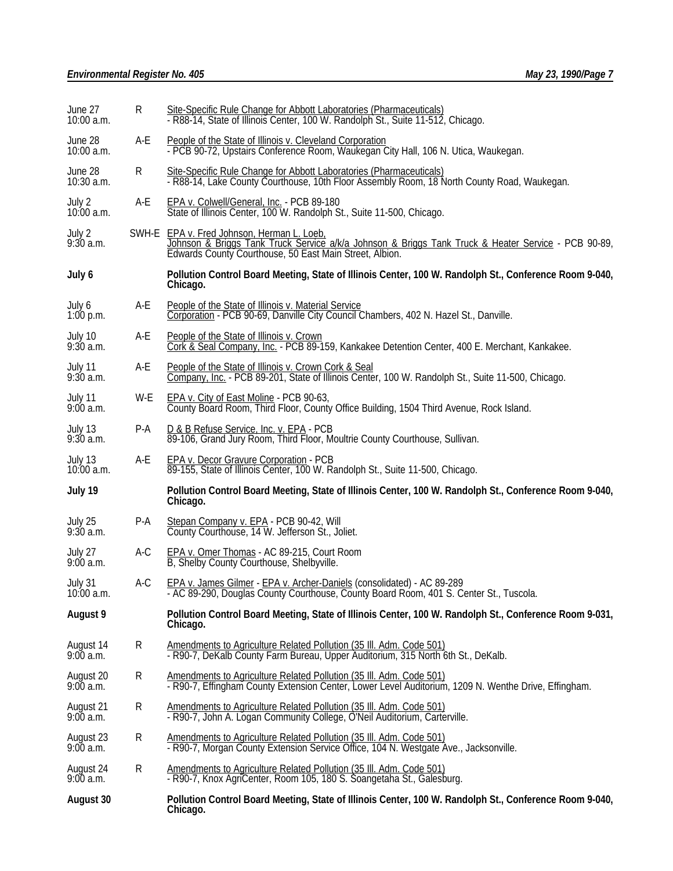| June 27<br>10:00 a.m.   | R   | Site-Specific Rule Change for Abbott Laboratories (Pharmaceuticals)<br>- R88-14, State of Illinois Center, 100 W. Randolph St., Suite 11-512, Chicago.                                                    |  |
|-------------------------|-----|-----------------------------------------------------------------------------------------------------------------------------------------------------------------------------------------------------------|--|
| June 28<br>$10:00$ a.m. | A-E | People of the State of Illinois v. Cleveland Corporation<br>- PCB 90-72, Upstairs Conference Room, Waukegan City Hall, 106 N. Utica, Waukegan.                                                            |  |
| June 28<br>10:30 a.m.   | R   | Site-Specific Rule Change for Abbott Laboratories (Pharmaceuticals)<br>- R88-14, Lake County Courthouse, 10th Floor Assembly Room, 18 North County Road, Waukegan.                                        |  |
| July 2<br>10:00 a.m.    | A-E | EPA v. Colwell/General, Inc. - PCB 89-180<br>State of Illinois Center, 100 W. Randolph St., Suite 11-500, Chicago.                                                                                        |  |
| July 2<br>9:30 a.m.     |     | SWH-E EPA v. Fred Johnson, Herman L. Loeb.<br>Johnson & Briggs Tank Truck Service a/k/a Johnson & Briggs Tank Truck & Heater Service - PCB 90-89, Edwards County Courthouse, 50 East Main Street, Albion. |  |
| July 6                  |     | Pollution Control Board Meeting, State of Illinois Center, 100 W. Randolph St., Conference Room 9-040,<br>Chicago.                                                                                        |  |
| July 6<br>$1:00$ p.m.   | A-E | People of the State of Illinois v. Material Service<br>Corporation - PCB 90-69, Danville City Council Chambers, 402 N. Hazel St., Danville.                                                               |  |
| July 10<br>9:30 a.m.    | A-E | People of the State of Illinois v. Crown<br>Cork & Seal Company, Inc. - PCB 89-159, Kankakee Detention Center, 400 E. Merchant, Kankakee.                                                                 |  |
| July 11<br>$9:30$ a.m.  | A-E | People of the State of Illinois v. Crown Cork & Seal<br>Company, Inc. - PCB 89-201, State of Illinois Center, 100 W. Randolph St., Suite 11-500, Chicago.                                                 |  |
| July 11<br>9:00a.m.     | W-E | EPA v. City of East Moline - PCB 90-63,<br>County Board Room, Third Floor, County Office Building, 1504 Third Avenue, Rock Island.                                                                        |  |
| July 13<br>$9:30$ a.m.  | P-A | D & B Refuse Service, Inc. v. EPA - PCB<br>89-106, Grand Jury Room, Third Floor, Moultrie County Courthouse, Sullivan.                                                                                    |  |
| July 13<br>$10:00$ a.m. | A-E | EPA v. Decor Gravure Corporation - PCB<br>89-155, State of Illinois Center, 100 W. Randolph St., Suite 11-500, Chicago.                                                                                   |  |
| July 19                 |     | Pollution Control Board Meeting, State of Illinois Center, 100 W. Randolph St., Conference Room 9-040,<br>Chicago.                                                                                        |  |
| July 25<br>$9:30$ a.m.  | P-A | Stepan Company v. EPA - PCB 90-42, Will<br>County Courthouse, 14 W. Jefferson St., Joliet.                                                                                                                |  |
| July 27<br>9:00a.m.     | A-C | EPA v. Omer Thomas - AC 89-215, Court Room<br>B, Shelby County Courthouse, Shelbyville.                                                                                                                   |  |
| July 31<br>$10:00$ a.m. | A-C | EPA v. James Gilmer - EPA v. Archer-Daniels (consolidated) - AC 89-289<br>- AC 89-290, Douglas County Courthouse, County Board Room, 401 S. Center St., Tuscola.                                          |  |
| August 9                |     | Pollution Control Board Meeting, State of Illinois Center, 100 W. Randolph St., Conference Room 9-031,<br>Chicago.                                                                                        |  |
| August 14<br>9:00 a.m.  | R   | Amendments to Agriculture Related Pollution (35 III. Adm. Code 501)<br>- R90-7, DeKalb County Farm Bureau, Upper Auditorium, 315 North 6th St., DeKalb.                                                   |  |
| August 20<br>9:00a.m.   | R   | Amendments to Agriculture Related Pollution (35 III. Adm. Code 501)<br>- R90-7, Effingham County Extension Center, Lower Level Auditorium, 1209 N. Wenthe Drive, Effingham.                               |  |
| August 21<br>9:00a.m.   | R   | Amendments to Agriculture Related Pollution (35 III. Adm. Code 501)<br>- R90-7, John A. Logan Community College, O'Neil Auditorium, Carterville.                                                          |  |
| August 23<br>9:00a.m.   | R   | Amendments to Agriculture Related Pollution (35 III. Adm. Code 501)<br>- R90-7, Morgan County Extension Service Office, 104 N. Westgate Ave., Jacksonville.                                               |  |
| August 24<br>9:00a.m.   | R   | Amendments to Agriculture Related Pollution (35 Ill. Adm. Code 501)<br>- R90-7, Knox AgriCenter, Room 105, 180 S. Soangetaha St., Galesburg.                                                              |  |
| August 30               |     | Pollution Control Board Meeting, State of Illinois Center, 100 W. Randolph St., Conference Room 9-040,<br>Chicago.                                                                                        |  |